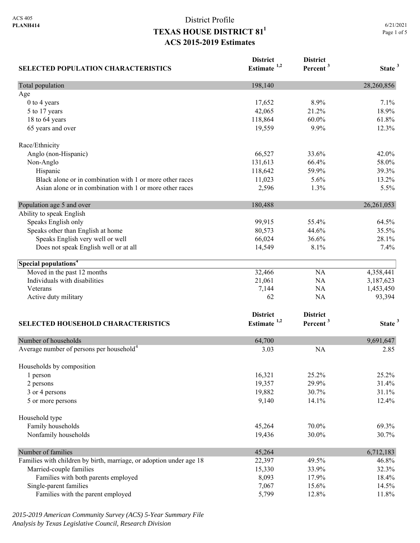| <b>SELECTED POPULATION CHARACTERISTICS</b>                          | <b>District</b><br>Estimate <sup>1,2</sup> | <b>District</b><br>Percent <sup>3</sup> | State <sup>3</sup> |
|---------------------------------------------------------------------|--------------------------------------------|-----------------------------------------|--------------------|
| Total population                                                    | 198,140                                    |                                         | 28,260,856         |
| Age                                                                 |                                            |                                         |                    |
| 0 to 4 years                                                        | 17,652                                     | 8.9%                                    | 7.1%               |
| 5 to 17 years                                                       | 42,065                                     | 21.2%                                   | 18.9%              |
| 18 to 64 years                                                      | 118,864                                    | 60.0%                                   | 61.8%              |
| 65 years and over                                                   | 19,559                                     | 9.9%                                    | 12.3%              |
| Race/Ethnicity                                                      |                                            |                                         |                    |
| Anglo (non-Hispanic)                                                | 66,527                                     | 33.6%                                   | 42.0%              |
| Non-Anglo                                                           | 131,613                                    | 66.4%                                   | 58.0%              |
| Hispanic                                                            | 118,642                                    | 59.9%                                   | 39.3%              |
| Black alone or in combination with 1 or more other races            | 11,023                                     | 5.6%                                    | 13.2%              |
| Asian alone or in combination with 1 or more other races            | 2,596                                      | 1.3%                                    | 5.5%               |
| Population age 5 and over                                           | 180,488                                    |                                         | 26, 261, 053       |
| Ability to speak English                                            |                                            |                                         |                    |
| Speaks English only                                                 | 99,915                                     | 55.4%                                   | 64.5%              |
| Speaks other than English at home                                   | 80,573                                     | 44.6%                                   | 35.5%              |
| Speaks English very well or well                                    | 66,024                                     | 36.6%                                   | 28.1%              |
| Does not speak English well or at all                               | 14,549                                     | 8.1%                                    | 7.4%               |
| Special populations <sup>4</sup>                                    |                                            |                                         |                    |
| Moved in the past 12 months                                         | 32,466                                     | NA                                      | 4,358,441          |
| Individuals with disabilities                                       | 21,061                                     | NA                                      | 3,187,623          |
| Veterans                                                            | 7,144                                      | NA                                      | 1,453,450          |
| Active duty military                                                | 62                                         | NA                                      | 93,394             |
|                                                                     | <b>District</b>                            | <b>District</b>                         |                    |
| <b>SELECTED HOUSEHOLD CHARACTERISTICS</b>                           | Estimate <sup>1,2</sup>                    | Percent <sup>3</sup>                    | State <sup>3</sup> |
| Number of households                                                | 64,700                                     |                                         | 9,691,647          |
| Average number of persons per household <sup>4</sup>                | 3.03                                       | <b>NA</b>                               | 2.85               |
|                                                                     |                                            |                                         |                    |
| Households by composition<br>1 person                               | 16,321                                     | 25.2%                                   | 25.2%              |
| 2 persons                                                           | 19,357                                     | 29.9%                                   | 31.4%              |
| 3 or 4 persons                                                      | 19,882                                     | 30.7%                                   | 31.1%              |
| 5 or more persons                                                   | 9,140                                      | 14.1%                                   | 12.4%              |
| Household type                                                      |                                            |                                         |                    |
| Family households                                                   | 45,264                                     | 70.0%                                   | 69.3%              |
|                                                                     |                                            | 30.0%                                   |                    |
| Nonfamily households                                                | 19,436                                     |                                         | 30.7%              |
| Number of families                                                  | 45,264                                     |                                         | 6,712,183          |
| Families with children by birth, marriage, or adoption under age 18 | 22,397                                     | 49.5%                                   | 46.8%              |
| Married-couple families                                             | 15,330                                     | 33.9%                                   | 32.3%              |
| Families with both parents employed                                 | 8,093                                      | 17.9%                                   | 18.4%              |
| Single-parent families                                              | 7,067                                      | 15.6%                                   | 14.5%              |
| Families with the parent employed                                   | 5,799                                      | 12.8%                                   | 11.8%              |

*2015-2019 American Community Survey (ACS) 5-Year Summary File Analysis by Texas Legislative Council, Research Division*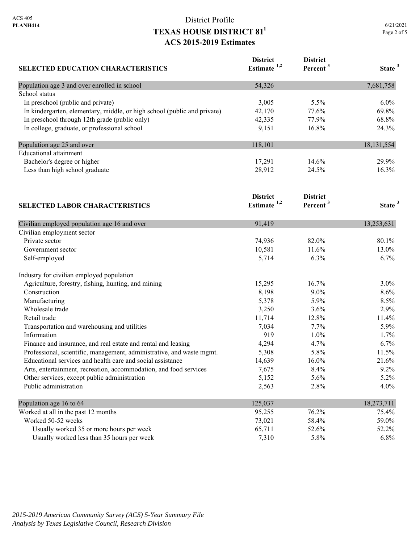| <b>SELECTED EDUCATION CHARACTERISTICS</b>                                | <b>District</b><br>Estimate <sup>1,2</sup> | <b>District</b><br>Percent <sup>3</sup> | State <sup>3</sup> |
|--------------------------------------------------------------------------|--------------------------------------------|-----------------------------------------|--------------------|
| Population age 3 and over enrolled in school                             | 54,326                                     |                                         | 7,681,758          |
| School status                                                            |                                            |                                         |                    |
| In preschool (public and private)                                        | 3,005                                      | 5.5%                                    | $6.0\%$            |
| In kindergarten, elementary, middle, or high school (public and private) | 42,170                                     | 77.6%                                   | 69.8%              |
| In preschool through 12th grade (public only)                            | 42,335                                     | 77.9%                                   | 68.8%              |
| In college, graduate, or professional school                             | 9,151                                      | 16.8%                                   | 24.3%              |
| Population age 25 and over                                               | 118,101                                    |                                         | 18,131,554         |
| <b>Educational</b> attainment                                            |                                            |                                         |                    |
| Bachelor's degree or higher                                              | 17,291                                     | 14.6%                                   | 29.9%              |
| Less than high school graduate                                           | 28,912                                     | 24.5%                                   | 16.3%              |
|                                                                          | <b>District</b>                            | <b>District</b>                         |                    |
| <b>SELECTED LABOR CHARACTERISTICS</b>                                    | Estimate $1,2$                             | Percent <sup>3</sup>                    | State <sup>3</sup> |
| Civilian employed population age 16 and over                             | 91,419                                     |                                         | 13,253,631         |
| Civilian employment sector                                               |                                            |                                         |                    |
| Private sector                                                           | 74,936                                     | 82.0%                                   | 80.1%              |
| Government sector                                                        | 10,581                                     | 11.6%                                   | 13.0%              |
| Self-employed                                                            | 5,714                                      | 6.3%                                    | 6.7%               |
| Industry for civilian employed population                                |                                            |                                         |                    |
| Agriculture, forestry, fishing, hunting, and mining                      | 15,295                                     | 16.7%                                   | 3.0%               |
| Construction                                                             | 8,198                                      | $9.0\%$                                 | 8.6%               |
| Manufacturing                                                            | 5,378                                      | 5.9%                                    | 8.5%               |
| Wholesale trade                                                          | 3,250                                      | 3.6%                                    | 2.9%               |
| Retail trade                                                             | 11,714                                     | 12.8%                                   | 11.4%              |
| Transportation and warehousing and utilities                             | 7,034                                      | 7.7%                                    | 5.9%               |
| Information                                                              | 919                                        | 1.0%                                    | 1.7%               |
| Finance and insurance, and real estate and rental and leasing            | 4,294                                      | 4.7%                                    | 6.7%               |
| Professional, scientific, management, administrative, and waste mgmt.    | 5,308                                      | 5.8%                                    | 11.5%              |
| Educational services and health care and social assistance               | 14,639                                     | 16.0%                                   | 21.6%              |
| Arts, entertainment, recreation, accommodation, and food services        | 7,675                                      | 8.4%                                    | 9.2%               |
| Other services, except public administration                             | 5,152                                      | 5.6%                                    | 5.2%               |
| Public administration                                                    | 2,563                                      | 2.8%                                    | 4.0%               |
| Population age 16 to 64                                                  | 125,037                                    |                                         | 18,273,711         |
| Worked at all in the past 12 months                                      | 95,255                                     | 76.2%                                   | 75.4%              |
| Worked 50-52 weeks                                                       | 73,021                                     | 58.4%                                   | 59.0%              |
| Usually worked 35 or more hours per week                                 | 65,711                                     | 52.6%                                   | 52.2%              |
| Usually worked less than 35 hours per week                               | 7,310                                      | 5.8%                                    | 6.8%               |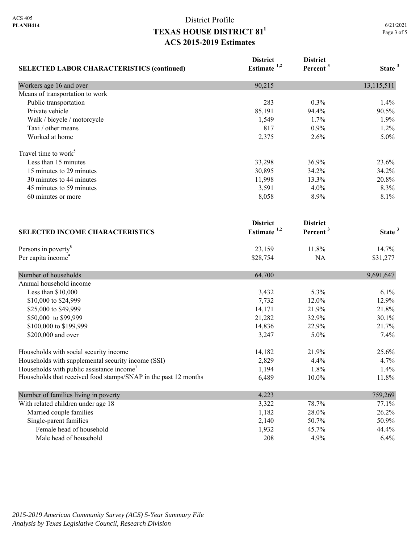| <b>SELECTED LABOR CHARACTERISTICS (continued)</b>               | <b>District</b><br>Estimate <sup>1,2</sup> | <b>District</b><br>Percent <sup>3</sup> | State <sup>3</sup> |
|-----------------------------------------------------------------|--------------------------------------------|-----------------------------------------|--------------------|
| Workers age 16 and over                                         | 90,215                                     |                                         | 13,115,511         |
| Means of transportation to work                                 |                                            |                                         |                    |
| Public transportation                                           | 283                                        | 0.3%                                    | 1.4%               |
| Private vehicle                                                 | 85,191                                     | 94.4%                                   | 90.5%              |
| Walk / bicycle / motorcycle                                     | 1,549                                      | 1.7%                                    | 1.9%               |
| Taxi / other means                                              | 817                                        | 0.9%                                    | 1.2%               |
| Worked at home                                                  | 2,375                                      | 2.6%                                    | 5.0%               |
| Travel time to work <sup>5</sup>                                |                                            |                                         |                    |
| Less than 15 minutes                                            | 33,298                                     | 36.9%                                   | 23.6%              |
| 15 minutes to 29 minutes                                        | 30,895                                     | 34.2%                                   | 34.2%              |
| 30 minutes to 44 minutes                                        | 11,998                                     | 13.3%                                   | 20.8%              |
| 45 minutes to 59 minutes                                        | 3,591                                      | 4.0%                                    | 8.3%               |
| 60 minutes or more                                              | 8,058                                      | 8.9%                                    | 8.1%               |
|                                                                 | <b>District</b>                            | <b>District</b>                         |                    |
| <b>SELECTED INCOME CHARACTERISTICS</b>                          | Estimate $1,2$                             | Percent <sup>3</sup>                    | State <sup>3</sup> |
| Persons in poverty <sup>6</sup>                                 | 23,159                                     | 11.8%                                   | 14.7%              |
| Per capita income <sup>4</sup>                                  | \$28,754                                   | NA                                      | \$31,277           |
| Number of households                                            | 64,700                                     |                                         | 9,691,647          |
| Annual household income                                         |                                            |                                         |                    |
| Less than \$10,000                                              | 3,432                                      | 5.3%                                    | 6.1%               |
| \$10,000 to \$24,999                                            | 7,732                                      | 12.0%                                   | 12.9%              |
| \$25,000 to \$49,999                                            | 14,171                                     | 21.9%                                   | 21.8%              |
| \$50,000 to \$99,999                                            | 21,282                                     | 32.9%                                   | 30.1%              |
| \$100,000 to \$199,999                                          | 14,836                                     | 22.9%                                   | 21.7%              |
| \$200,000 and over                                              | 3,247                                      | 5.0%                                    | 7.4%               |
| Households with social security income                          | 14,182                                     | 21.9%                                   | 25.6%              |
| Households with supplemental security income (SSI)              | 2,829                                      | 4.4%                                    | 4.7%               |
| Households with public assistance income <sup>7</sup>           | 1,194                                      | 1.8%                                    | 1.4%               |
| Households that received food stamps/SNAP in the past 12 months | 6,489                                      | 10.0%                                   | 11.8%              |
| Number of families living in poverty                            | 4,223                                      |                                         | 759,269            |
| With related children under age 18                              | 3,322                                      | 78.7%                                   | 77.1%              |
| Married couple families                                         | 1,182                                      | 28.0%                                   | 26.2%              |
| Single-parent families                                          | 2,140                                      | 50.7%                                   | 50.9%              |
| Female head of household                                        | 1,932                                      | 45.7%                                   | 44.4%              |
| Male head of household                                          | 208                                        | 4.9%                                    | 6.4%               |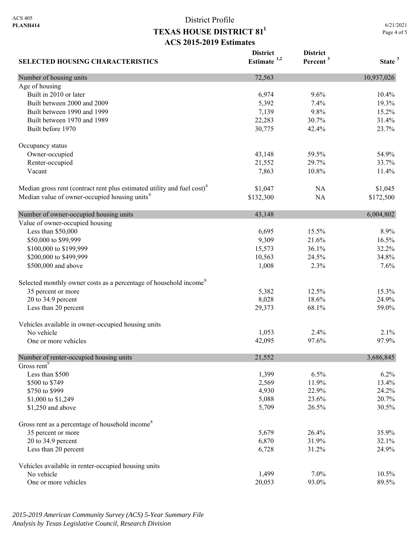6/21/2021 Page 4 of 5

| <b>SELECTED HOUSING CHARACTERISTICS</b>                                             | <b>District</b><br>Estimate $1,2$ | <b>District</b><br>Percent <sup>3</sup> | State <sup>3</sup> |
|-------------------------------------------------------------------------------------|-----------------------------------|-----------------------------------------|--------------------|
| Number of housing units                                                             | 72,563                            |                                         | 10,937,026         |
| Age of housing                                                                      |                                   |                                         |                    |
| Built in 2010 or later                                                              | 6,974                             | 9.6%                                    | 10.4%              |
| Built between 2000 and 2009                                                         | 5,392                             | 7.4%                                    | 19.3%              |
| Built between 1990 and 1999                                                         | 7,139                             | 9.8%                                    | 15.2%              |
| Built between 1970 and 1989                                                         | 22,283                            | 30.7%                                   | 31.4%              |
| Built before 1970                                                                   | 30,775                            | 42.4%                                   | 23.7%              |
| Occupancy status                                                                    |                                   |                                         |                    |
| Owner-occupied                                                                      | 43,148                            | 59.5%                                   | 54.9%              |
| Renter-occupied                                                                     | 21,552                            | 29.7%                                   | 33.7%              |
| Vacant                                                                              | 7,863                             | 10.8%                                   | 11.4%              |
| Median gross rent (contract rent plus estimated utility and fuel cost) <sup>4</sup> | \$1,047                           | NA                                      | \$1,045            |
| Median value of owner-occupied housing units <sup>4</sup>                           | \$132,300                         | <b>NA</b>                               | \$172,500          |
| Number of owner-occupied housing units                                              | 43,148                            |                                         | 6,004,802          |
| Value of owner-occupied housing                                                     |                                   |                                         |                    |
| Less than \$50,000                                                                  | 6,695                             | 15.5%                                   | 8.9%               |
| \$50,000 to \$99,999                                                                | 9,309                             | 21.6%                                   | 16.5%              |
| \$100,000 to \$199,999                                                              | 15,573                            | 36.1%                                   | 32.2%              |
| \$200,000 to \$499,999                                                              | 10,563                            | 24.5%                                   | 34.8%              |
| \$500,000 and above                                                                 | 1,008                             | 2.3%                                    | 7.6%               |
| Selected monthly owner costs as a percentage of household income <sup>8</sup>       |                                   |                                         |                    |
| 35 percent or more                                                                  | 5,382                             | 12.5%                                   | 15.3%              |
| 20 to 34.9 percent                                                                  | 8,028                             | 18.6%                                   | 24.9%              |
| Less than 20 percent                                                                | 29,373                            | 68.1%                                   | 59.0%              |
| Vehicles available in owner-occupied housing units                                  |                                   |                                         |                    |
| No vehicle                                                                          | 1,053                             | 2.4%                                    | 2.1%               |
| One or more vehicles                                                                | 42,095                            | 97.6%                                   | 97.9%              |
| Number of renter-occupied housing units                                             | 21,552                            |                                         | 3,686,845          |
| Gross rent <sup>9</sup>                                                             |                                   |                                         |                    |
| Less than \$500                                                                     | 1,399                             | 6.5%                                    | 6.2%               |
| \$500 to \$749                                                                      | 2,569                             | 11.9%                                   | 13.4%              |
| \$750 to \$999                                                                      | 4,930                             | 22.9%                                   | 24.2%<br>20.7%     |
| \$1,000 to \$1,249                                                                  | 5,088                             | 23.6%                                   |                    |
| \$1,250 and above                                                                   | 5,709                             | 26.5%                                   | 30.5%              |
| Gross rent as a percentage of household income <sup>8</sup>                         |                                   |                                         |                    |
| 35 percent or more                                                                  | 5,679                             | 26.4%                                   | 35.9%              |
| 20 to 34.9 percent                                                                  | 6,870                             | 31.9%                                   | 32.1%              |
| Less than 20 percent                                                                | 6,728                             | 31.2%                                   | 24.9%              |
| Vehicles available in renter-occupied housing units                                 |                                   |                                         |                    |
| No vehicle                                                                          | 1,499                             | 7.0%                                    | 10.5%              |
| One or more vehicles                                                                | 20,053                            | 93.0%                                   | 89.5%              |